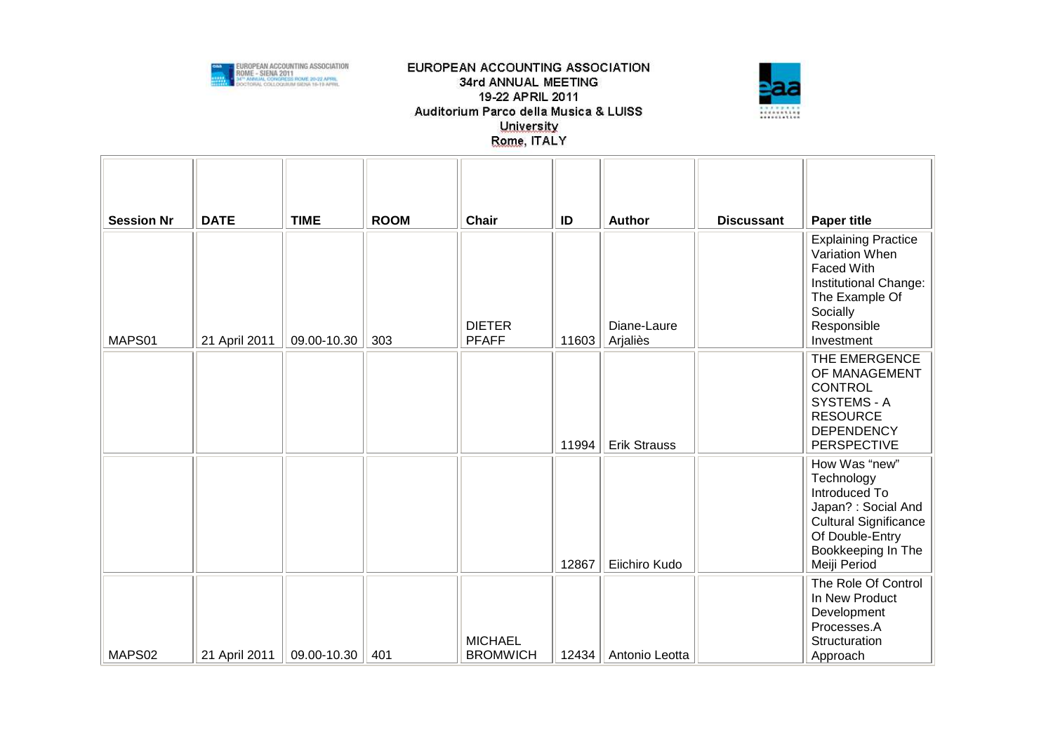



| <b>Session Nr</b> | <b>DATE</b>   | <b>TIME</b> | <b>ROOM</b> | <b>Chair</b>                      | ID    | <b>Author</b>           | <b>Discussant</b> | <b>Paper title</b>                                                                                                                                           |
|-------------------|---------------|-------------|-------------|-----------------------------------|-------|-------------------------|-------------------|--------------------------------------------------------------------------------------------------------------------------------------------------------------|
| MAPS01            | 21 April 2011 | 09.00-10.30 | 303         | <b>DIETER</b><br><b>PFAFF</b>     | 11603 | Diane-Laure<br>Arjaliès |                   | <b>Explaining Practice</b><br>Variation When<br><b>Faced With</b><br>Institutional Change:<br>The Example Of<br>Socially<br>Responsible<br>Investment        |
|                   |               |             |             |                                   | 11994 | <b>Erik Strauss</b>     |                   | THE EMERGENCE<br>OF MANAGEMENT<br><b>CONTROL</b><br>SYSTEMS - A<br><b>RESOURCE</b><br><b>DEPENDENCY</b><br>PERSPECTIVE                                       |
|                   |               |             |             |                                   | 12867 | Eiichiro Kudo           |                   | How Was "new"<br>Technology<br>Introduced To<br>Japan? : Social And<br><b>Cultural Significance</b><br>Of Double-Entry<br>Bookkeeping In The<br>Meiji Period |
| MAPS02            | 21 April 2011 | 09.00-10.30 | 401         | <b>MICHAEL</b><br><b>BROMWICH</b> | 12434 | Antonio Leotta          |                   | The Role Of Control<br>In New Product<br>Development<br>Processes.A<br>Structuration<br>Approach                                                             |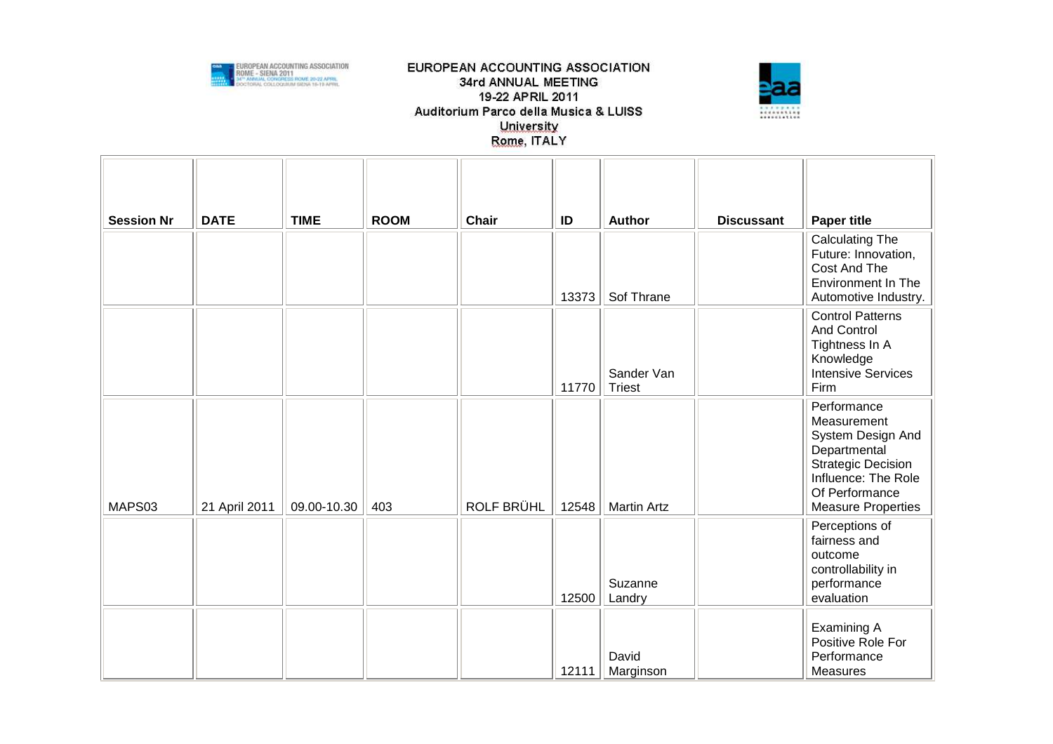



| <b>Session Nr</b> | <b>DATE</b>   | <b>TIME</b> | <b>ROOM</b> | Chair      | ID    | Author                      | <b>Discussant</b> | <b>Paper title</b>                                                                                                                                                 |
|-------------------|---------------|-------------|-------------|------------|-------|-----------------------------|-------------------|--------------------------------------------------------------------------------------------------------------------------------------------------------------------|
|                   |               |             |             |            | 13373 | Sof Thrane                  |                   | <b>Calculating The</b><br>Future: Innovation,<br>Cost And The<br>Environment In The<br>Automotive Industry.                                                        |
|                   |               |             |             |            | 11770 | Sander Van<br><b>Triest</b> |                   | <b>Control Patterns</b><br><b>And Control</b><br>Tightness In A<br>Knowledge<br><b>Intensive Services</b><br>Firm                                                  |
| MAPS03            | 21 April 2011 | 09.00-10.30 | 403         | ROLF BRÜHL | 12548 | <b>Martin Artz</b>          |                   | Performance<br>Measurement<br>System Design And<br>Departmental<br><b>Strategic Decision</b><br>Influence: The Role<br>Of Performance<br><b>Measure Properties</b> |
|                   |               |             |             |            | 12500 | Suzanne<br>Landry           |                   | Perceptions of<br>fairness and<br>outcome<br>controllability in<br>performance<br>evaluation                                                                       |
|                   |               |             |             |            | 12111 | David<br>Marginson          |                   | Examining A<br>Positive Role For<br>Performance<br><b>Measures</b>                                                                                                 |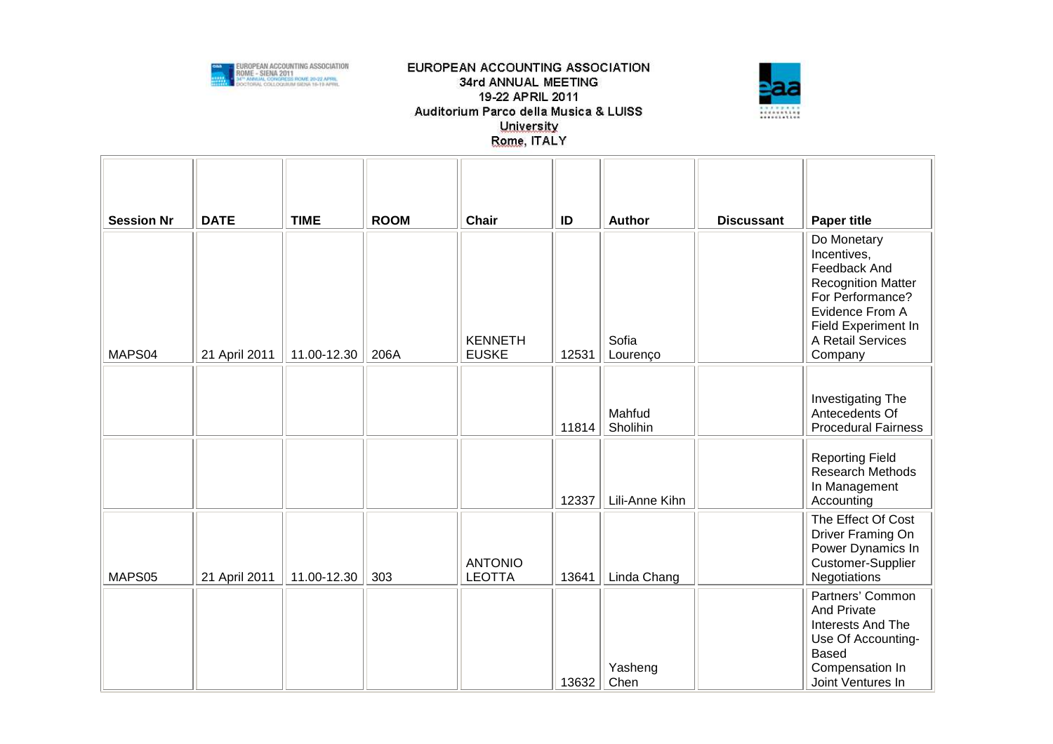



| <b>Session Nr</b> | <b>DATE</b>   | <b>TIME</b> | <b>ROOM</b> | Chair                           | ID    | <b>Author</b>      | <b>Discussant</b> | <b>Paper title</b>                                                                                                                                                    |
|-------------------|---------------|-------------|-------------|---------------------------------|-------|--------------------|-------------------|-----------------------------------------------------------------------------------------------------------------------------------------------------------------------|
| MAPS04            | 21 April 2011 | 11.00-12.30 | 206A        | <b>KENNETH</b><br><b>EUSKE</b>  | 12531 | Sofia<br>Lourenço  |                   | Do Monetary<br>Incentives,<br>Feedback And<br><b>Recognition Matter</b><br>For Performance?<br>Evidence From A<br>Field Experiment In<br>A Retail Services<br>Company |
|                   |               |             |             |                                 | 11814 | Mahfud<br>Sholihin |                   | Investigating The<br>Antecedents Of<br><b>Procedural Fairness</b>                                                                                                     |
|                   |               |             |             |                                 | 12337 | Lili-Anne Kihn     |                   | <b>Reporting Field</b><br>Research Methods<br>In Management<br>Accounting                                                                                             |
| MAPS05            | 21 April 2011 | 11.00-12.30 | 303         | <b>ANTONIO</b><br><b>LEOTTA</b> | 13641 | Linda Chang        |                   | The Effect Of Cost<br>Driver Framing On<br>Power Dynamics In<br>Customer-Supplier<br>Negotiations                                                                     |
|                   |               |             |             |                                 | 13632 | Yasheng<br>Chen    |                   | Partners' Common<br><b>And Private</b><br>Interests And The<br>Use Of Accounting-<br><b>Based</b><br>Compensation In<br>Joint Ventures In                             |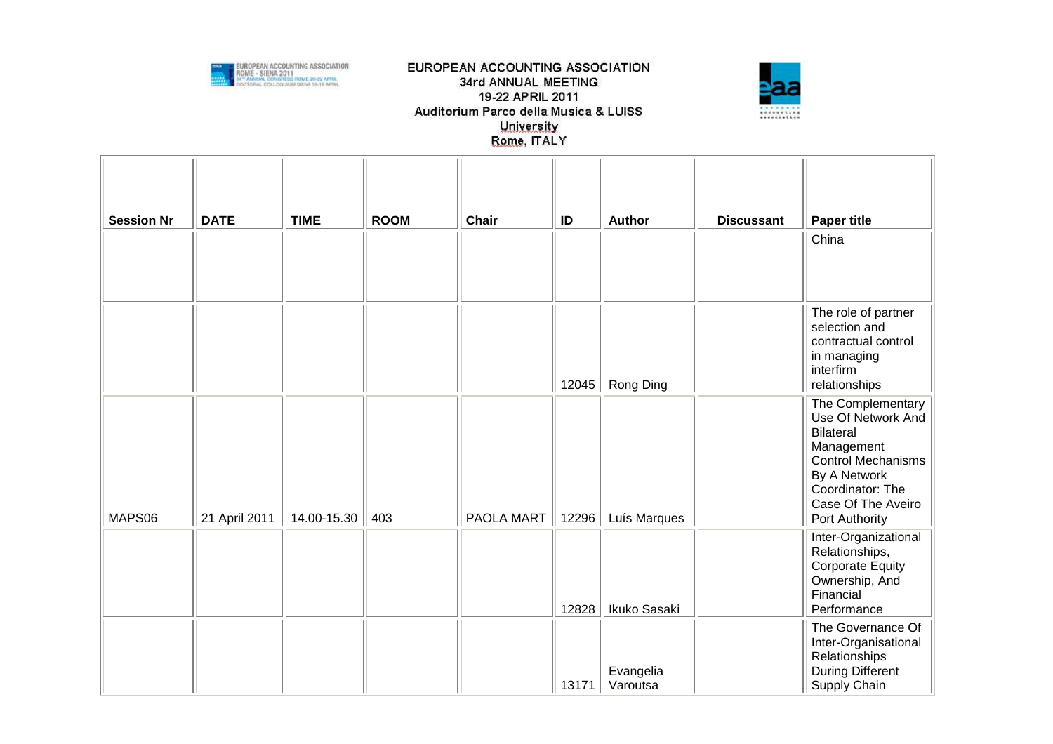



| <b>Session Nr</b> | <b>DATE</b>   | <b>TIME</b> | <b>ROOM</b> | Chair      | ID    | <b>Author</b>         | <b>Discussant</b> | <b>Paper title</b><br>China                                                                                                                                                        |
|-------------------|---------------|-------------|-------------|------------|-------|-----------------------|-------------------|------------------------------------------------------------------------------------------------------------------------------------------------------------------------------------|
|                   |               |             |             |            |       |                       |                   |                                                                                                                                                                                    |
|                   |               |             |             |            | 12045 | Rong Ding             |                   | The role of partner<br>selection and<br>contractual control<br>in managing<br>interfirm<br>relationships                                                                           |
| MAPS06            | 21 April 2011 | 14.00-15.30 | 403         | PAOLA MART | 12296 | Luís Marques          |                   | The Complementary<br>Use Of Network And<br><b>Bilateral</b><br>Management<br><b>Control Mechanisms</b><br>By A Network<br>Coordinator: The<br>Case Of The Aveiro<br>Port Authority |
|                   |               |             |             |            | 12828 | Ikuko Sasaki          |                   | Inter-Organizational<br>Relationships,<br><b>Corporate Equity</b><br>Ownership, And<br>Financial<br>Performance                                                                    |
|                   |               |             |             |            | 13171 | Evangelia<br>Varoutsa |                   | The Governance Of<br>Inter-Organisational<br>Relationships<br><b>During Different</b><br>Supply Chain                                                                              |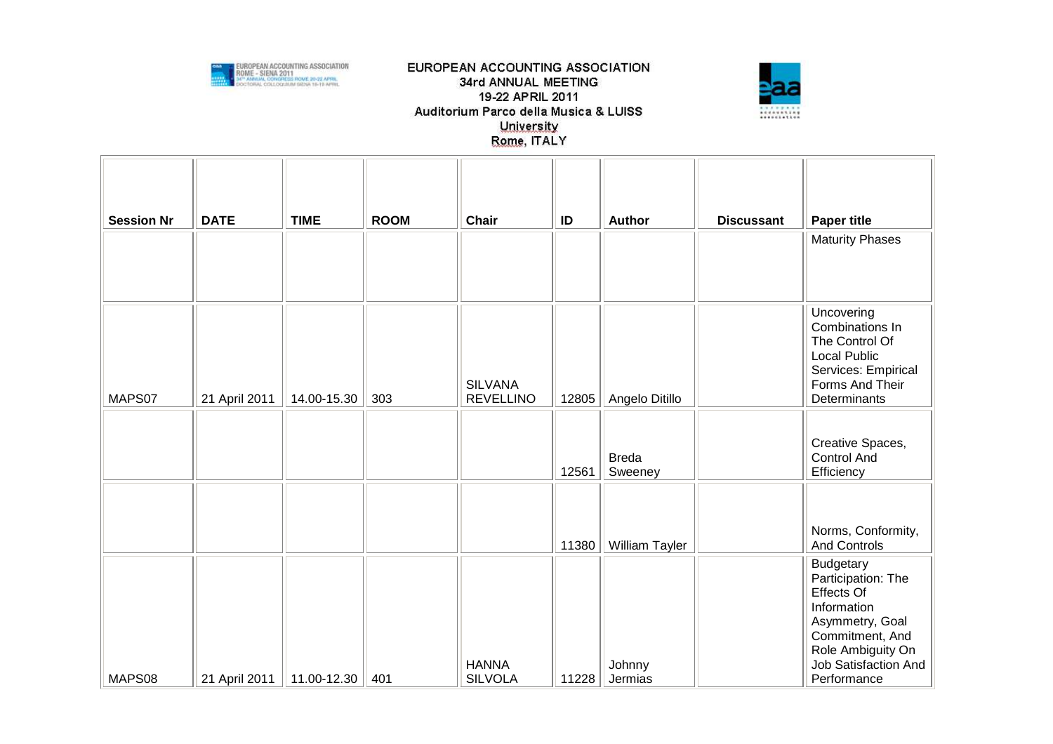



| <b>Session Nr</b> | <b>DATE</b>   | <b>TIME</b> | <b>ROOM</b> | Chair                              | ID    | Author                  | <b>Discussant</b> | <b>Paper title</b><br><b>Maturity Phases</b>                                                                                                                                 |
|-------------------|---------------|-------------|-------------|------------------------------------|-------|-------------------------|-------------------|------------------------------------------------------------------------------------------------------------------------------------------------------------------------------|
| MAPS07            | 21 April 2011 | 14.00-15.30 | 303         | <b>SILVANA</b><br><b>REVELLINO</b> | 12805 | Angelo Ditillo          |                   | Uncovering<br>Combinations In<br>The Control Of<br><b>Local Public</b><br>Services: Empirical<br>Forms And Their<br>Determinants                                             |
|                   |               |             |             |                                    | 12561 | <b>Breda</b><br>Sweeney |                   | Creative Spaces,<br><b>Control And</b><br>Efficiency                                                                                                                         |
|                   |               |             |             |                                    | 11380 | William Tayler          |                   | Norms, Conformity,<br>And Controls                                                                                                                                           |
| MAPS08            | 21 April 2011 | 11.00-12.30 | 401         | <b>HANNA</b><br><b>SILVOLA</b>     | 11228 | Johnny<br>Jermias       |                   | <b>Budgetary</b><br>Participation: The<br><b>Effects Of</b><br>Information<br>Asymmetry, Goal<br>Commitment, And<br>Role Ambiguity On<br>Job Satisfaction And<br>Performance |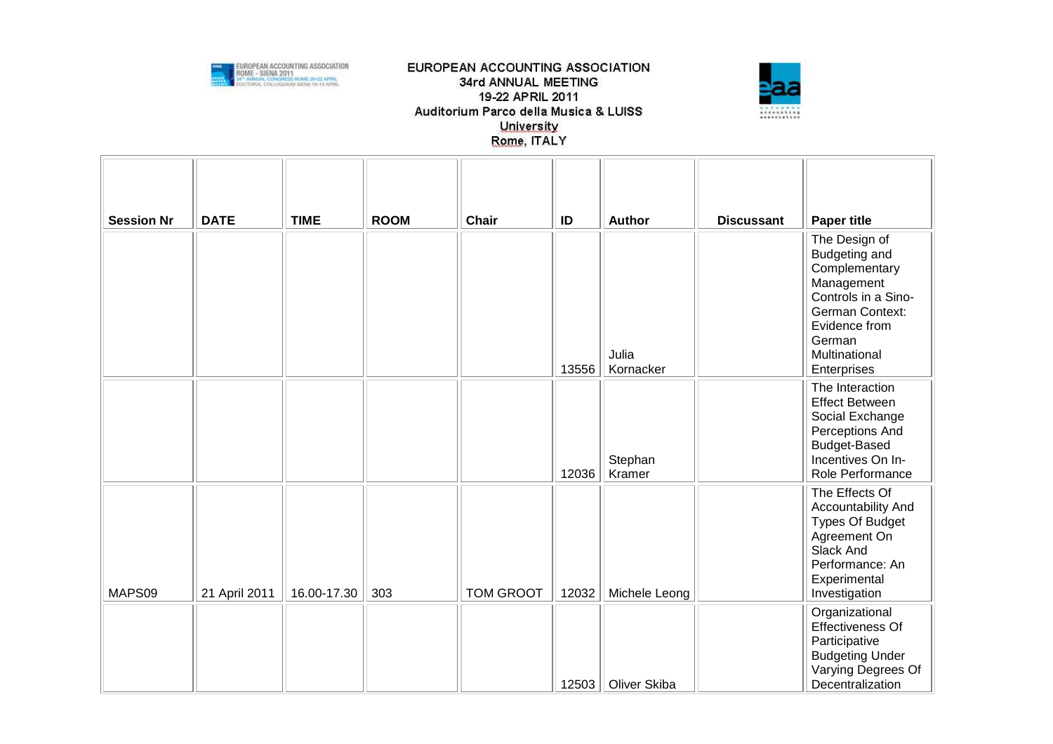



| <b>Session Nr</b> | <b>DATE</b>   | <b>TIME</b> | <b>ROOM</b> | Chair     | ID    | <b>Author</b>      | <b>Discussant</b> | <b>Paper title</b>                                                                                                                                                 |
|-------------------|---------------|-------------|-------------|-----------|-------|--------------------|-------------------|--------------------------------------------------------------------------------------------------------------------------------------------------------------------|
|                   |               |             |             |           | 13556 | Julia<br>Kornacker |                   | The Design of<br>Budgeting and<br>Complementary<br>Management<br>Controls in a Sino-<br>German Context:<br>Evidence from<br>German<br>Multinational<br>Enterprises |
|                   |               |             |             |           | 12036 | Stephan<br>Kramer  |                   | The Interaction<br><b>Effect Between</b><br>Social Exchange<br>Perceptions And<br>Budget-Based<br>Incentives On In-<br>Role Performance                            |
| MAPS09            | 21 April 2011 | 16.00-17.30 | 303         | TOM GROOT | 12032 | Michele Leong      |                   | The Effects Of<br>Accountability And<br><b>Types Of Budget</b><br>Agreement On<br>Slack And<br>Performance: An<br>Experimental<br>Investigation                    |
|                   |               |             |             |           | 12503 | Oliver Skiba       |                   | Organizational<br><b>Effectiveness Of</b><br>Participative<br><b>Budgeting Under</b><br>Varying Degrees Of<br>Decentralization                                     |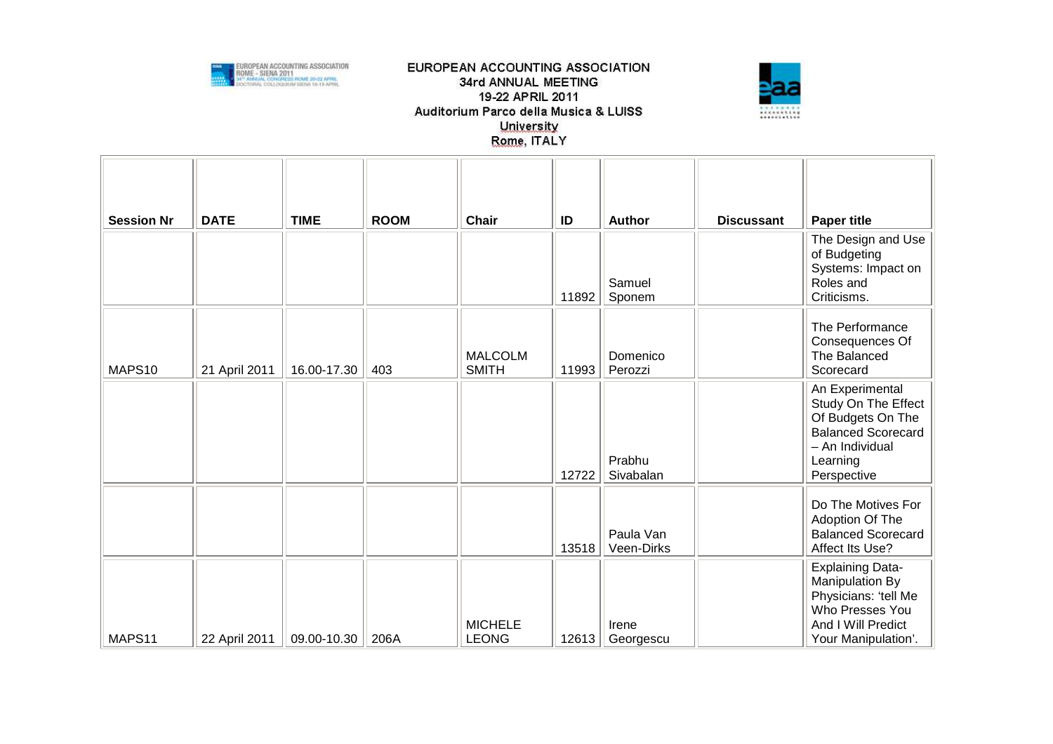



|                   | <b>DATE</b>   | <b>TIME</b> | <b>ROOM</b> | <b>Chair</b>                   |             |                                   |                   |                                                                                                                                        |
|-------------------|---------------|-------------|-------------|--------------------------------|-------------|-----------------------------------|-------------------|----------------------------------------------------------------------------------------------------------------------------------------|
| <b>Session Nr</b> |               |             |             |                                | ID<br>11892 | <b>Author</b><br>Samuel<br>Sponem | <b>Discussant</b> | <b>Paper title</b><br>The Design and Use<br>of Budgeting<br>Systems: Impact on<br>Roles and<br>Criticisms.                             |
| MAPS10            | 21 April 2011 | 16.00-17.30 | 403         | <b>MALCOLM</b><br><b>SMITH</b> | 11993       | Domenico<br>Perozzi               |                   | The Performance<br>Consequences Of<br>The Balanced<br>Scorecard                                                                        |
|                   |               |             |             |                                | 12722       | Prabhu<br>Sivabalan               |                   | An Experimental<br>Study On The Effect<br>Of Budgets On The<br><b>Balanced Scorecard</b><br>- An Individual<br>Learning<br>Perspective |
|                   |               |             |             |                                | 13518       | Paula Van<br>Veen-Dirks           |                   | Do The Motives For<br>Adoption Of The<br><b>Balanced Scorecard</b><br>Affect Its Use?                                                  |
| MAPS11            | 22 April 2011 | 09.00-10.30 | 206A        | <b>MICHELE</b><br><b>LEONG</b> | 12613       | Irene<br>Georgescu                |                   | <b>Explaining Data-</b><br>Manipulation By<br>Physicians: 'tell Me<br>Who Presses You<br>And I Will Predict<br>Your Manipulation'.     |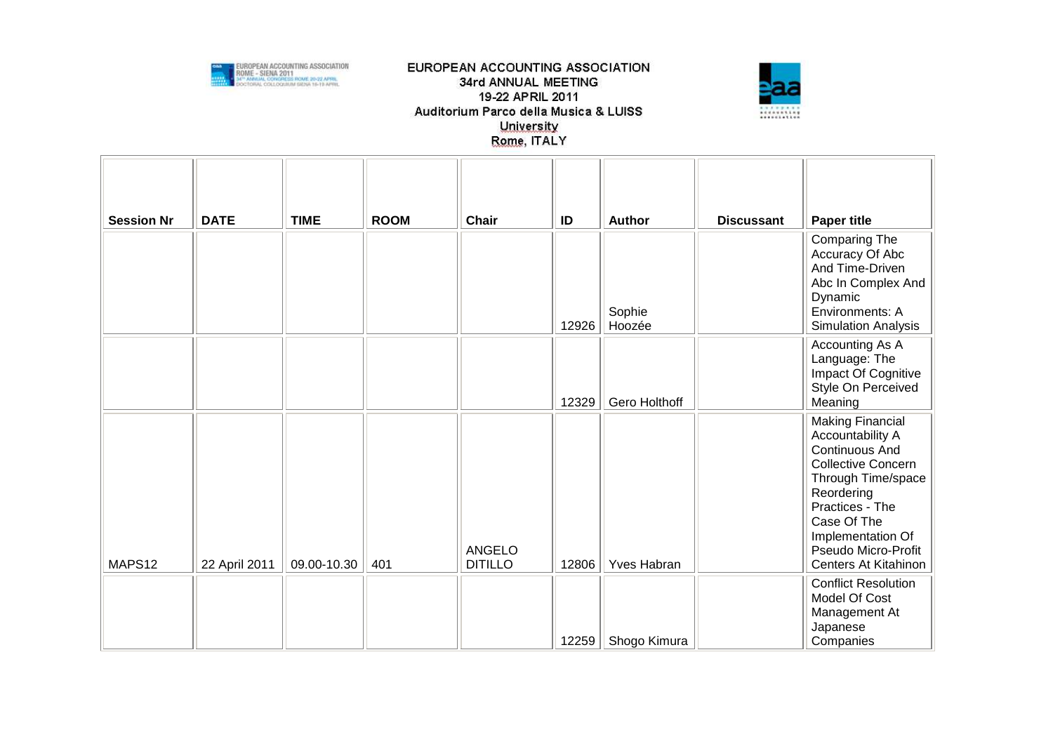



| <b>Session Nr</b> | <b>DATE</b>   | <b>TIME</b> | <b>ROOM</b> | Chair                           | ID    | Author           | <b>Discussant</b> | <b>Paper title</b>                                                                                                                                                                                                                          |
|-------------------|---------------|-------------|-------------|---------------------------------|-------|------------------|-------------------|---------------------------------------------------------------------------------------------------------------------------------------------------------------------------------------------------------------------------------------------|
|                   |               |             |             |                                 | 12926 | Sophie<br>Hoozée |                   | Comparing The<br>Accuracy Of Abc<br>And Time-Driven<br>Abc In Complex And<br>Dynamic<br>Environments: A<br><b>Simulation Analysis</b>                                                                                                       |
|                   |               |             |             |                                 | 12329 | Gero Holthoff    |                   | Accounting As A<br>Language: The<br>Impact Of Cognitive<br>Style On Perceived<br>Meaning                                                                                                                                                    |
| MAPS12            | 22 April 2011 | 09.00-10.30 | 401         | <b>ANGELO</b><br><b>DITILLO</b> | 12806 | Yves Habran      |                   | <b>Making Financial</b><br>Accountability A<br><b>Continuous And</b><br><b>Collective Concern</b><br>Through Time/space<br>Reordering<br>Practices - The<br>Case Of The<br>Implementation Of<br>Pseudo Micro-Profit<br>Centers At Kitahinon |
|                   |               |             |             |                                 | 12259 | Shogo Kimura     |                   | <b>Conflict Resolution</b><br>Model Of Cost<br>Management At<br>Japanese<br>Companies                                                                                                                                                       |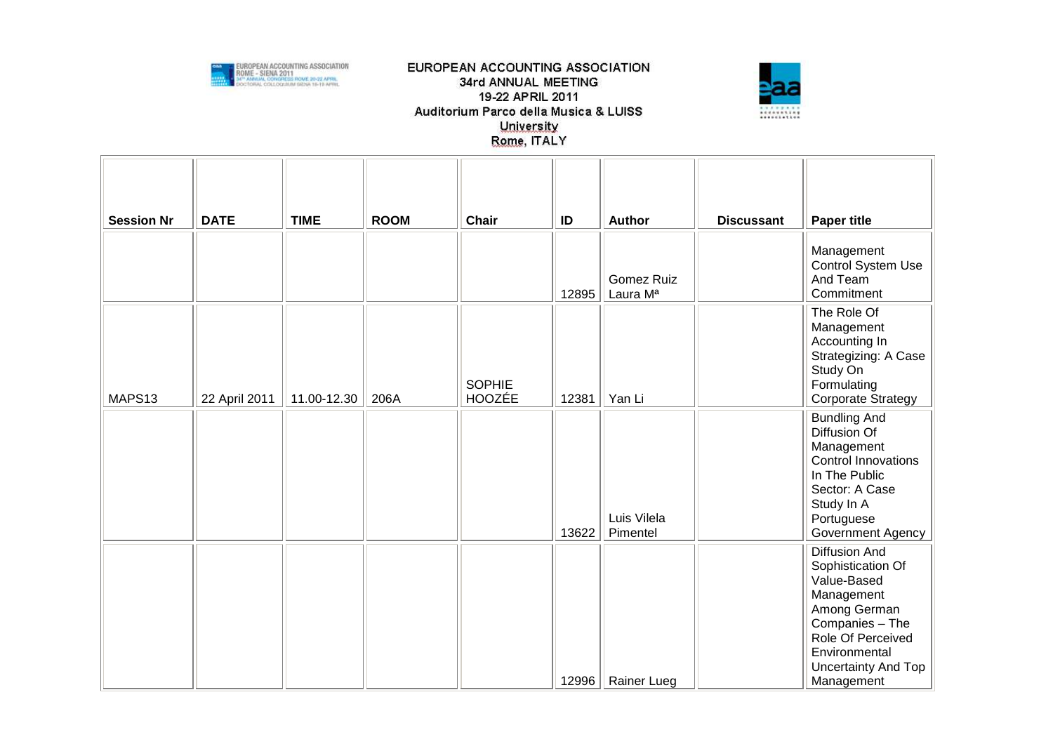



| <b>Session Nr</b> | <b>DATE</b>   | <b>TIME</b> | <b>ROOM</b> | Chair                          | ID    | Author                                    | <b>Discussant</b> | <b>Paper title</b>                                                                                                                                                            |
|-------------------|---------------|-------------|-------------|--------------------------------|-------|-------------------------------------------|-------------------|-------------------------------------------------------------------------------------------------------------------------------------------------------------------------------|
|                   |               |             |             |                                | 12895 | <b>Gomez Ruiz</b><br>Laura M <sup>a</sup> |                   | Management<br>Control System Use<br>And Team<br>Commitment                                                                                                                    |
| MAPS13            | 22 April 2011 | 11.00-12.30 | 206A        | <b>SOPHIE</b><br><b>HOOZÉE</b> | 12381 | Yan Li                                    |                   | The Role Of<br>Management<br>Accounting In<br>Strategizing: A Case<br>Study On<br>Formulating<br>Corporate Strategy                                                           |
|                   |               |             |             |                                | 13622 | Luis Vilela<br>Pimentel                   |                   | <b>Bundling And</b><br>Diffusion Of<br>Management<br><b>Control Innovations</b><br>In The Public<br>Sector: A Case<br>Study In A<br>Portuguese<br>Government Agency           |
|                   |               |             |             |                                | 12996 | Rainer Lueg                               |                   | Diffusion And<br>Sophistication Of<br>Value-Based<br>Management<br>Among German<br>Companies - The<br>Role Of Perceived<br>Environmental<br>Uncertainty And Top<br>Management |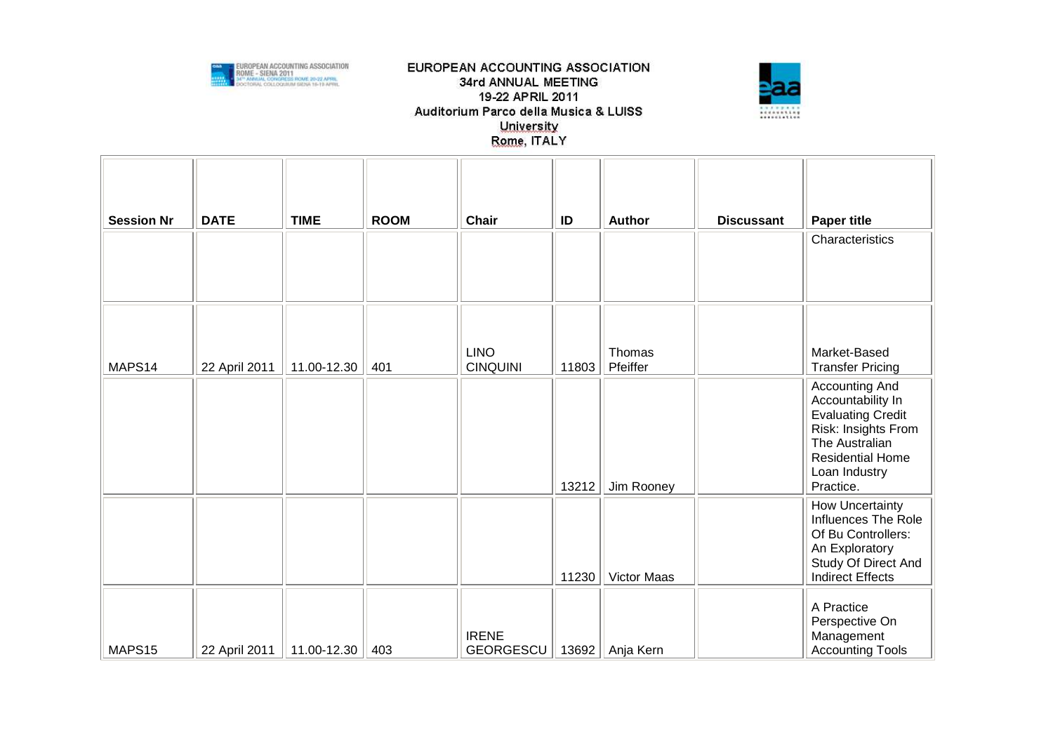



| <b>Session Nr</b> | <b>DATE</b>   | <b>TIME</b> | <b>ROOM</b> | <b>Chair</b>                     | ID    | <b>Author</b>      | <b>Discussant</b> | <b>Paper title</b>                                                                                                                                                |
|-------------------|---------------|-------------|-------------|----------------------------------|-------|--------------------|-------------------|-------------------------------------------------------------------------------------------------------------------------------------------------------------------|
|                   |               |             |             |                                  |       |                    |                   | Characteristics                                                                                                                                                   |
| MAPS14            | 22 April 2011 | 11.00-12.30 | 401         | <b>LINO</b><br><b>CINQUINI</b>   | 11803 | Thomas<br>Pfeiffer |                   | Market-Based<br><b>Transfer Pricing</b>                                                                                                                           |
|                   |               |             |             |                                  | 13212 | Jim Rooney         |                   | Accounting And<br>Accountability In<br><b>Evaluating Credit</b><br>Risk: Insights From<br>The Australian<br><b>Residential Home</b><br>Loan Industry<br>Practice. |
|                   |               |             |             |                                  | 11230 | Victor Maas        |                   | How Uncertainty<br>Influences The Role<br>Of Bu Controllers:<br>An Exploratory<br>Study Of Direct And<br><b>Indirect Effects</b>                                  |
| MAPS15            | 22 April 2011 | 11.00-12.30 | 403         | <b>IRENE</b><br><b>GEORGESCU</b> | 13692 | Anja Kern          |                   | A Practice<br>Perspective On<br>Management<br><b>Accounting Tools</b>                                                                                             |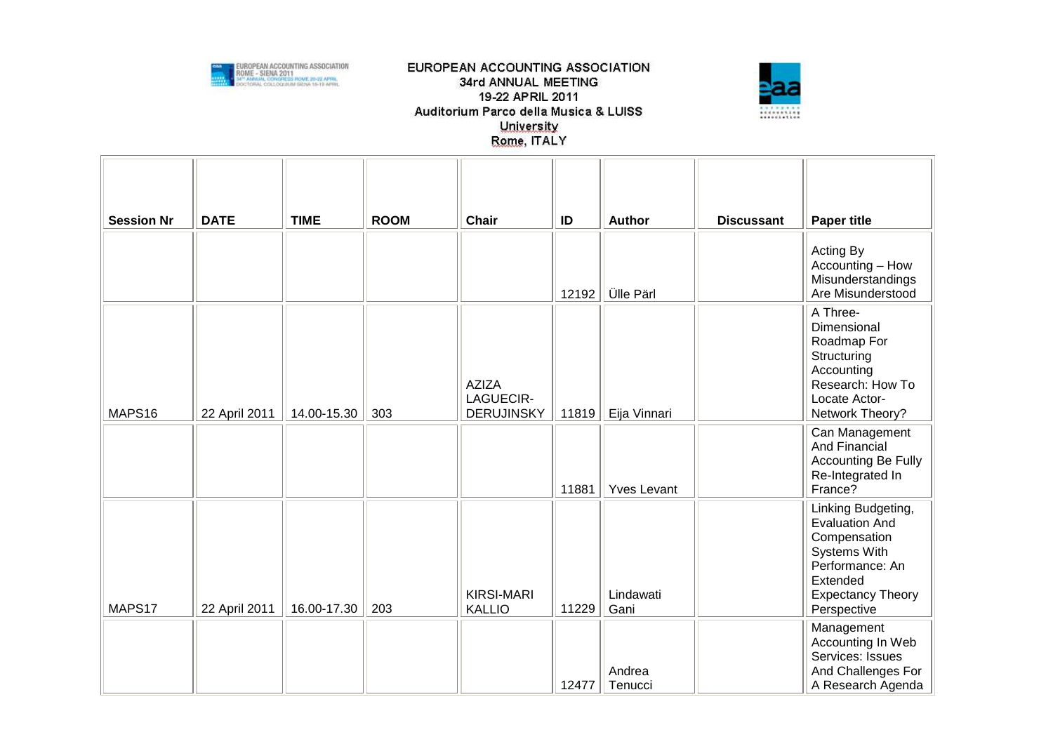



| <b>Session Nr</b> | <b>DATE</b>   | <b>TIME</b> | <b>ROOM</b> | Chair                                          | ID    | Author             | <b>Discussant</b> | <b>Paper title</b>                                                                                                                                    |
|-------------------|---------------|-------------|-------------|------------------------------------------------|-------|--------------------|-------------------|-------------------------------------------------------------------------------------------------------------------------------------------------------|
|                   |               |             |             |                                                | 12192 | <b>Ülle Pärl</b>   |                   | Acting By<br>Accounting - How<br>Misunderstandings<br>Are Misunderstood                                                                               |
| MAPS16            | 22 April 2011 | 14.00-15.30 | 303         | <b>AZIZA</b><br>LAGUECIR-<br><b>DERUJINSKY</b> | 11819 | Eija Vinnari       |                   | A Three-<br>Dimensional<br>Roadmap For<br>Structuring<br>Accounting<br>Research: How To<br>Locate Actor-<br>Network Theory?                           |
|                   |               |             |             |                                                | 11881 | <b>Yves Levant</b> |                   | Can Management<br>And Financial<br><b>Accounting Be Fully</b><br>Re-Integrated In<br>France?                                                          |
| MAPS17            | 22 April 2011 | 16.00-17.30 | 203         | <b>KIRSI-MARI</b><br><b>KALLIO</b>             | 11229 | Lindawati<br>Gani  |                   | Linking Budgeting,<br><b>Evaluation And</b><br>Compensation<br>Systems With<br>Performance: An<br>Extended<br><b>Expectancy Theory</b><br>Perspective |
|                   |               |             |             |                                                | 12477 | Andrea<br>Tenucci  |                   | Management<br>Accounting In Web<br>Services: Issues<br>And Challenges For<br>A Research Agenda                                                        |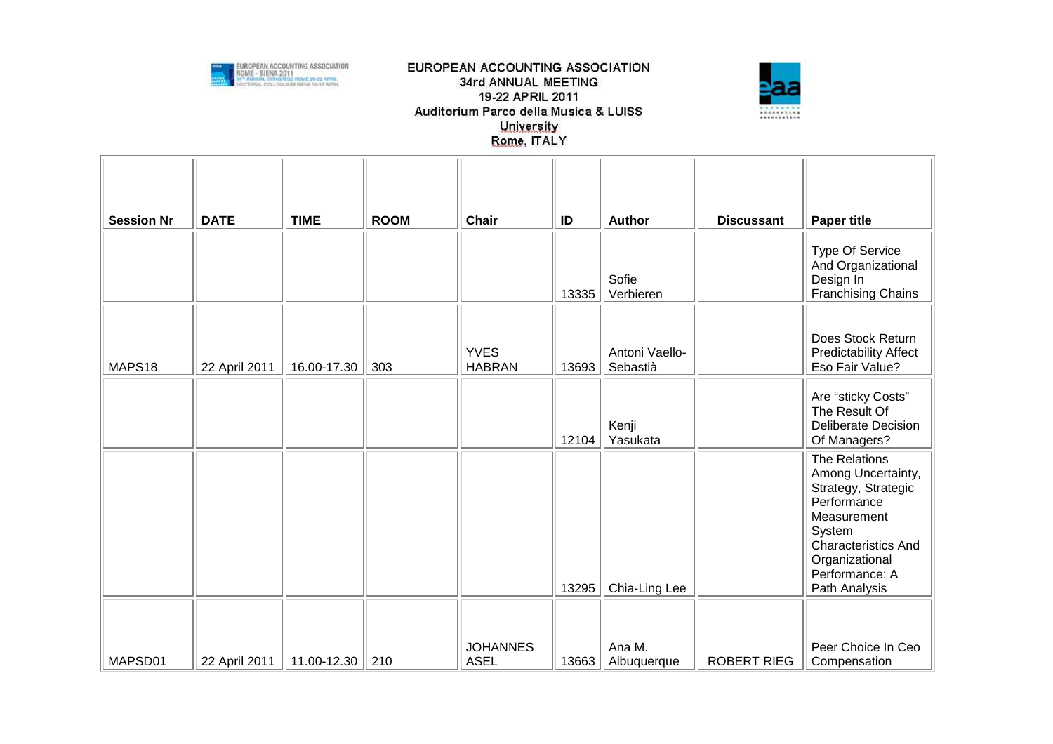



| <b>Session Nr</b> | <b>DATE</b>   | <b>TIME</b>     | <b>ROOM</b> | <b>Chair</b>                   | ID    | <b>Author</b>              | <b>Discussant</b>  | <b>Paper title</b>                                                                                                                                                                    |
|-------------------|---------------|-----------------|-------------|--------------------------------|-------|----------------------------|--------------------|---------------------------------------------------------------------------------------------------------------------------------------------------------------------------------------|
|                   |               |                 |             |                                | 13335 | Sofie<br>Verbieren         |                    | Type Of Service<br>And Organizational<br>Design In<br><b>Franchising Chains</b>                                                                                                       |
| MAPS18            | 22 April 2011 | 16.00-17.30     | 303         | <b>YVES</b><br><b>HABRAN</b>   | 13693 | Antoni Vaello-<br>Sebastià |                    | Does Stock Return<br><b>Predictability Affect</b><br>Eso Fair Value?                                                                                                                  |
|                   |               |                 |             |                                | 12104 | Kenji<br>Yasukata          |                    | Are "sticky Costs"<br>The Result Of<br><b>Deliberate Decision</b><br>Of Managers?                                                                                                     |
|                   |               |                 |             |                                | 13295 | Chia-Ling Lee              |                    | The Relations<br>Among Uncertainty,<br>Strategy, Strategic<br>Performance<br>Measurement<br>System<br><b>Characteristics And</b><br>Organizational<br>Performance: A<br>Path Analysis |
| MAPSD01           | 22 April 2011 | 11.00-12.30 210 |             | <b>JOHANNES</b><br><b>ASEL</b> | 13663 | Ana M.<br>Albuquerque      | <b>ROBERT RIEG</b> | Peer Choice In Ceo<br>Compensation                                                                                                                                                    |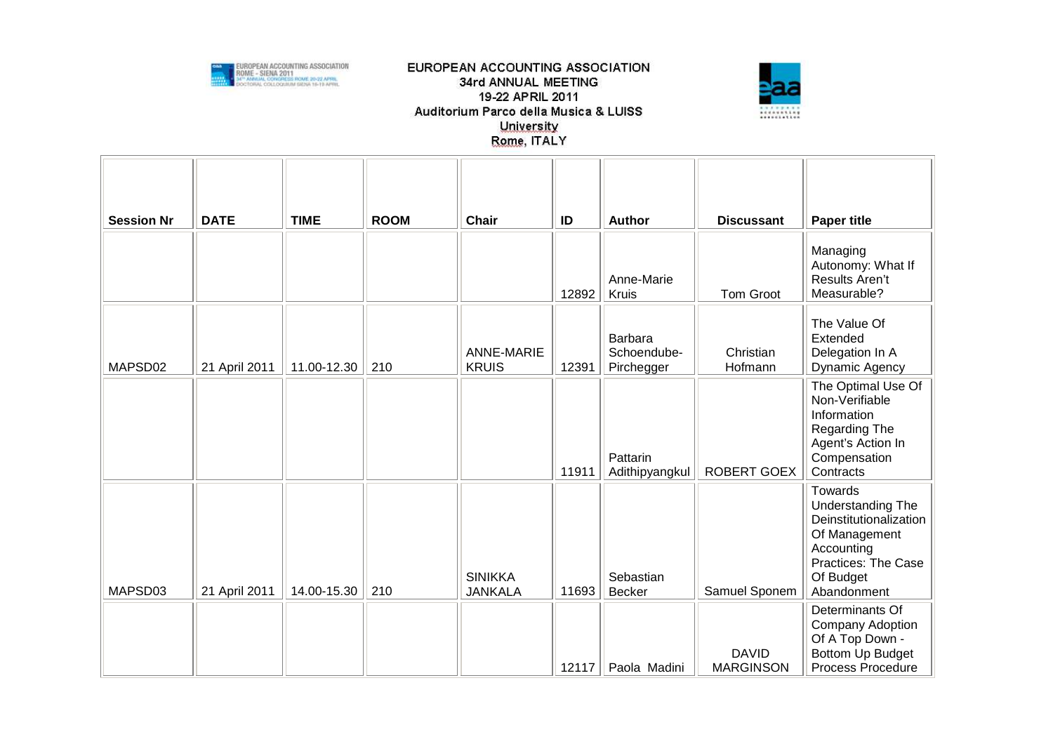



| <b>Session Nr</b> | <b>DATE</b>   | <b>TIME</b> | <b>ROOM</b> | <b>Chair</b>                      | ID    | <b>Author</b>                        | <b>Discussant</b>                | <b>Paper title</b>                                                                                                                              |
|-------------------|---------------|-------------|-------------|-----------------------------------|-------|--------------------------------------|----------------------------------|-------------------------------------------------------------------------------------------------------------------------------------------------|
|                   |               |             |             |                                   | 12892 | Anne-Marie<br>Kruis                  | Tom Groot                        | Managing<br>Autonomy: What If<br>Results Aren't<br>Measurable?                                                                                  |
| MAPSD02           | 21 April 2011 | 11.00-12.30 | 210         | <b>ANNE-MARIE</b><br><b>KRUIS</b> | 12391 | Barbara<br>Schoendube-<br>Pirchegger | Christian<br>Hofmann             | The Value Of<br>Extended<br>Delegation In A<br>Dynamic Agency                                                                                   |
|                   |               |             |             |                                   | 11911 | Pattarin<br>Adithipyangkul           | ROBERT GOEX                      | The Optimal Use Of<br>Non-Verifiable<br>Information<br>Regarding The<br>Agent's Action In<br>Compensation<br>Contracts                          |
| MAPSD03           | 21 April 2011 | 14.00-15.30 | 210         | <b>SINIKKA</b><br><b>JANKALA</b>  | 11693 | Sebastian<br><b>Becker</b>           | Samuel Sponem                    | Towards<br><b>Understanding The</b><br>Deinstitutionalization<br>Of Management<br>Accounting<br>Practices: The Case<br>Of Budget<br>Abandonment |
|                   |               |             |             |                                   | 12117 | Paola Madini                         | <b>DAVID</b><br><b>MARGINSON</b> | Determinants Of<br>Company Adoption<br>Of A Top Down -<br>Bottom Up Budget<br><b>Process Procedure</b>                                          |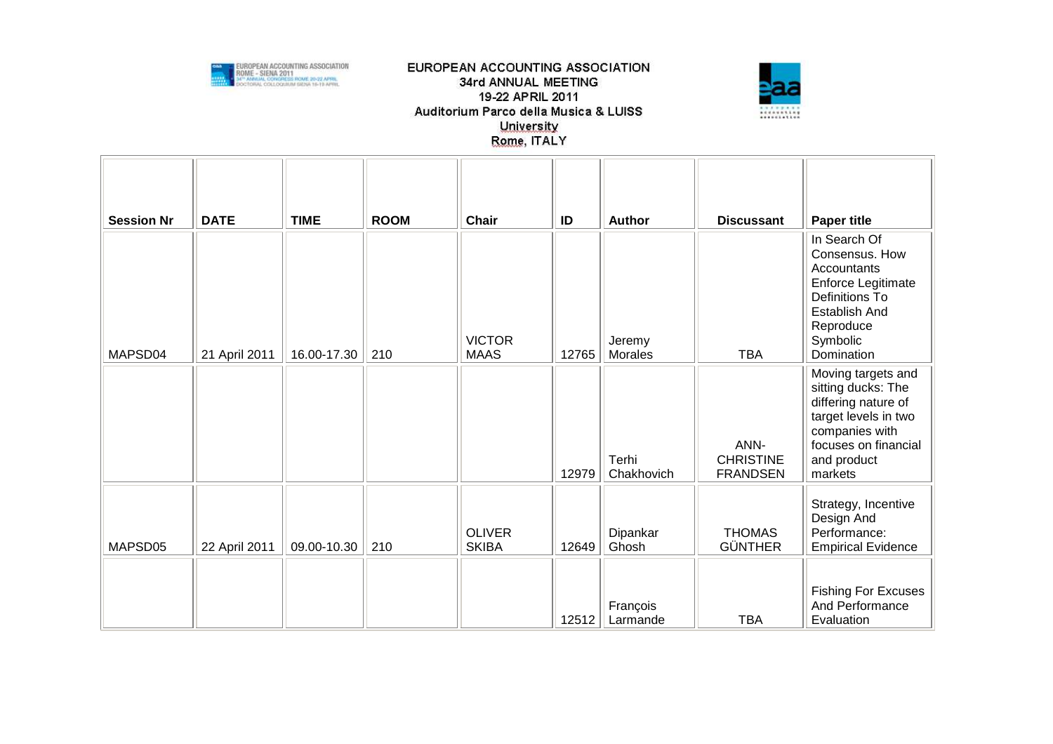



| <b>Session Nr</b> | <b>DATE</b>   | <b>TIME</b> | <b>ROOM</b> | <b>Chair</b>                  | ID    | <b>Author</b>        | <b>Discussant</b>                           | <b>Paper title</b>                                                                                                                                          |
|-------------------|---------------|-------------|-------------|-------------------------------|-------|----------------------|---------------------------------------------|-------------------------------------------------------------------------------------------------------------------------------------------------------------|
| MAPSD04           | 21 April 2011 | 16.00-17.30 | 210         | <b>VICTOR</b><br><b>MAAS</b>  | 12765 | Jeremy<br>Morales    | <b>TBA</b>                                  | In Search Of<br>Consensus. How<br>Accountants<br>Enforce Legitimate<br>Definitions To<br>Establish And<br>Reproduce<br>Symbolic<br>Domination               |
|                   |               |             |             |                               | 12979 | Terhi<br>Chakhovich  | ANN-<br><b>CHRISTINE</b><br><b>FRANDSEN</b> | Moving targets and<br>sitting ducks: The<br>differing nature of<br>target levels in two<br>companies with<br>focuses on financial<br>and product<br>markets |
| MAPSD05           | 22 April 2011 | 09.00-10.30 | 210         | <b>OLIVER</b><br><b>SKIBA</b> | 12649 | Dipankar<br>Ghosh    | <b>THOMAS</b><br><b>GÜNTHER</b>             | Strategy, Incentive<br>Design And<br>Performance:<br><b>Empirical Evidence</b><br><b>Fishing For Excuses</b>                                                |
|                   |               |             |             |                               | 12512 | François<br>Larmande | <b>TBA</b>                                  | And Performance<br>Evaluation                                                                                                                               |